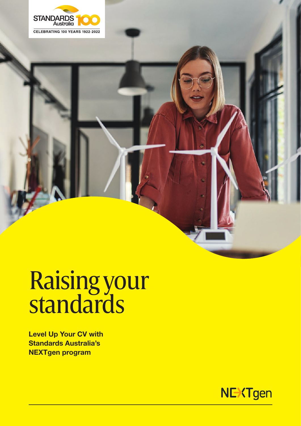

# Raising your standards

Level Up Your CV with Standards Australia's NEXTgen program